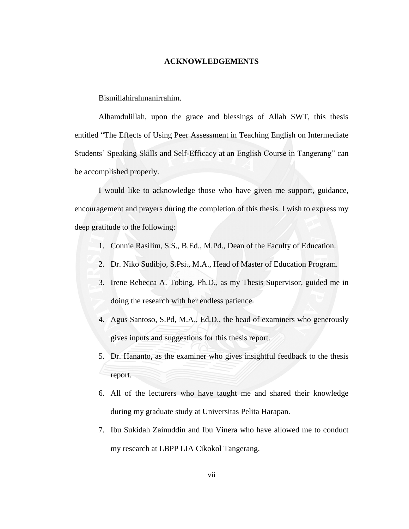#### **ACKNOWLEDGEMENTS**

<span id="page-0-0"></span>Bismillahirahmanirrahim.

Alhamdulillah, upon the grace and blessings of Allah SWT, this thesis entitled "The Effects of Using Peer Assessment in Teaching English on Intermediate Students' Speaking Skills and Self-Efficacy at an English Course in Tangerang" can be accomplished properly.

I would like to acknowledge those who have given me support, guidance, encouragement and prayers during the completion of this thesis. I wish to express my deep gratitude to the following:

- 1. Connie Rasilim, S.S., B.Ed., M.Pd., Dean of the Faculty of Education.
- 2. Dr. Niko Sudibjo, S.Psi., M.A., Head of Master of Education Program.
- 3. Irene Rebecca A. Tobing, Ph.D., as my Thesis Supervisor, guided me in doing the research with her endless patience.
- 4. Agus Santoso, S.Pd, M.A., Ed.D., the head of examiners who generously gives inputs and suggestions for this thesis report.
- 5. Dr. Hananto, as the examiner who gives insightful feedback to the thesis report.
- 6. All of the lecturers who have taught me and shared their knowledge during my graduate study at Universitas Pelita Harapan.
- 7. Ibu Sukidah Zainuddin and Ibu Vinera who have allowed me to conduct my research at LBPP LIA Cikokol Tangerang.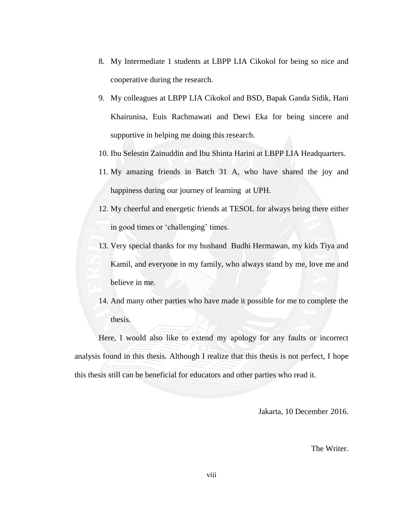- 8. My Intermediate 1 students at LBPP LIA Cikokol for being so nice and cooperative during the research.
- 9. My colleagues at LBPP LIA Cikokol and BSD, Bapak Ganda Sidik, Hani Khairunisa, Euis Rachmawati and Dewi Eka for being sincere and supportive in helping me doing this research.
- 10. Ibu Selestin Zainuddin and Ibu Shinta Harini at LBPP LIA Headquarters.
- 11. My amazing friends in Batch 31 A, who have shared the joy and happiness during our journey of learning at UPH.
- 12. My cheerful and energetic friends at TESOL for always being there either in good times or 'challenging' times.
- 13. Very special thanks for my husband Budhi Hermawan, my kids Tiya and Kamil, and everyone in my family, who always stand by me, love me and believe in me.
- 14. And many other parties who have made it possible for me to complete the thesis.

Here, I would also like to extend my apology for any faults or incorrect analysis found in this thesis. Although I realize that this thesis is not perfect, I hope this thesis still can be beneficial for educators and other parties who read it.

Jakarta, 10 December 2016.

The Writer.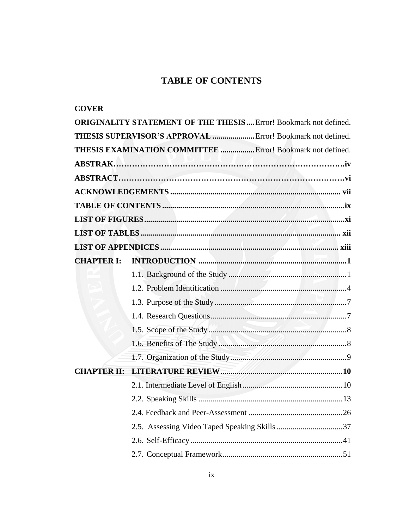# **TABLE OF CONTENTS**

<span id="page-2-0"></span>

| <b>COVER</b>       |                                                                         |
|--------------------|-------------------------------------------------------------------------|
|                    | <b>ORIGINALITY STATEMENT OF THE THESIS</b> Error! Bookmark not defined. |
|                    | THESIS SUPERVISOR'S APPROVAL  Error! Bookmark not defined.              |
|                    | <b>THESIS EXAMINATION COMMITTEE </b> Error! Bookmark not defined.       |
|                    |                                                                         |
|                    |                                                                         |
|                    |                                                                         |
|                    |                                                                         |
|                    |                                                                         |
|                    |                                                                         |
|                    |                                                                         |
| <b>CHAPTER I:</b>  |                                                                         |
|                    |                                                                         |
|                    |                                                                         |
|                    |                                                                         |
|                    |                                                                         |
|                    |                                                                         |
|                    |                                                                         |
|                    |                                                                         |
| <b>CHAPTER II:</b> |                                                                         |
|                    |                                                                         |
|                    |                                                                         |
|                    |                                                                         |
|                    |                                                                         |
|                    |                                                                         |
|                    |                                                                         |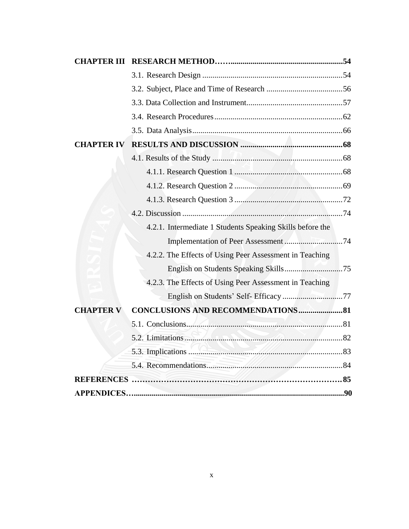| <b>CHAPTER III</b> |                                                           |  |
|--------------------|-----------------------------------------------------------|--|
|                    |                                                           |  |
|                    |                                                           |  |
|                    |                                                           |  |
|                    |                                                           |  |
|                    |                                                           |  |
| <b>CHAPTER IV</b>  |                                                           |  |
|                    |                                                           |  |
|                    |                                                           |  |
|                    |                                                           |  |
|                    |                                                           |  |
|                    |                                                           |  |
|                    | 4.2.1. Intermediate 1 Students Speaking Skills before the |  |
|                    |                                                           |  |
|                    | 4.2.2. The Effects of Using Peer Assessment in Teaching   |  |
|                    |                                                           |  |
|                    | 4.2.3. The Effects of Using Peer Assessment in Teaching   |  |
|                    |                                                           |  |
| <b>CHAPTER V</b>   | <b>CONCLUSIONS AND RECOMMENDATIONS 81</b>                 |  |
|                    |                                                           |  |
|                    |                                                           |  |
|                    |                                                           |  |
|                    |                                                           |  |
|                    |                                                           |  |
|                    |                                                           |  |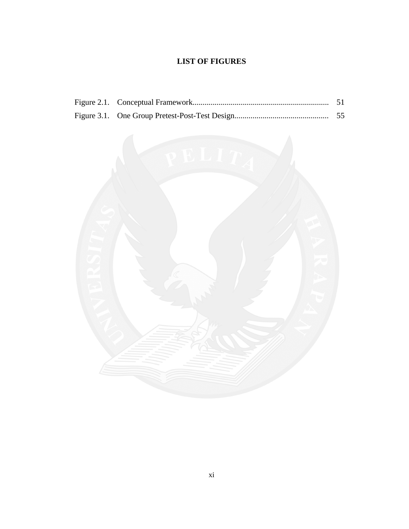### **LIST OF FIGURES**

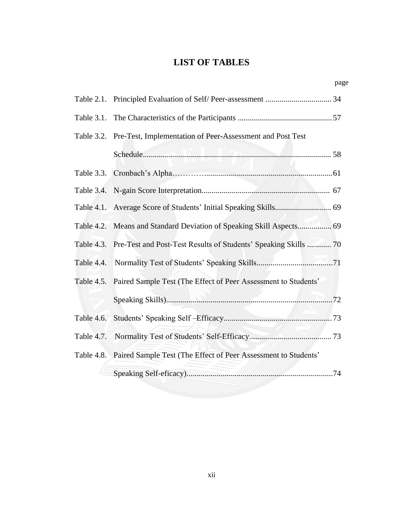## **LIST OF TABLES**

page

|            | Table 3.2. Pre-Test, Implementation of Peer-Assessment and Post Test       |  |
|------------|----------------------------------------------------------------------------|--|
|            |                                                                            |  |
|            |                                                                            |  |
|            |                                                                            |  |
|            |                                                                            |  |
|            | Table 4.2. Means and Standard Deviation of Speaking Skill Aspects 69       |  |
|            | Table 4.3. Pre-Test and Post-Test Results of Students' Speaking Skills  70 |  |
| Table 4.4. |                                                                            |  |
|            | Table 4.5. Paired Sample Test (The Effect of Peer Assessment to Students'  |  |
|            |                                                                            |  |
| Table 4.6. |                                                                            |  |
| Table 4.7. |                                                                            |  |
|            | Table 4.8. Paired Sample Test (The Effect of Peer Assessment to Students'  |  |
|            |                                                                            |  |

xii